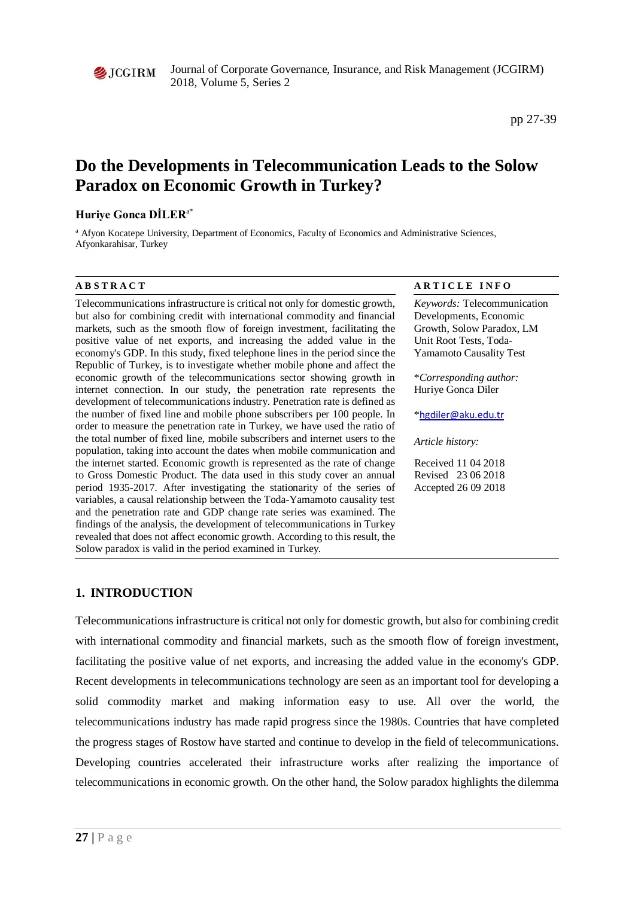

Journal of Corporate Governance, Insurance, and Risk Management (JCGIRM) 2018, Volume 5, Series 2

# **Do the Developments in Telecommunication Leads to the Solow Paradox on Economic Growth in Turkey?**

### **Huriye Gonca DİLER**a\*

<sup>a</sup> Afyon Kocatepe University, Department of Economics, Faculty of Economics and Administrative Sciences, Afyonkarahisar, Turkey

Telecommunications infrastructure is critical not only for domestic growth, but also for combining credit with international commodity and financial markets, such as the smooth flow of foreign investment, facilitating the positive value of net exports, and increasing the added value in the economy's GDP. In this study, fixed telephone lines in the period since the Republic of Turkey, is to investigate whether mobile phone and affect the economic growth of the telecommunications sector showing growth in internet connection. In our study, the penetration rate represents the development of telecommunications industry. Penetration rate is defined as the number of fixed line and mobile phone subscribers per 100 people. In order to measure the penetration rate in Turkey, we have used the ratio of the total number of fixed line, mobile subscribers and internet users to the population, taking into account the dates when mobile communication and the internet started. Economic growth is represented as the rate of change to Gross Domestic Product. The data used in this study cover an annual period 1935-2017. After investigating the stationarity of the series of variables, a causal relationship between the Toda-Yamamoto causality test and the penetration rate and GDP change rate series was examined. The findings of the analysis, the development of telecommunications in Turkey revealed that does not affect economic growth. According to this result, the Solow paradox is valid in the period examined in Turkey.

#### **A B S T R A C T A R T I C L E I N F O**

*Keywords:* Telecommunication Developments, Economic Growth, Solow Paradox, LM Unit Root Tests, Toda-Yamamoto Causality Test

\**Corresponding author:*  Huriye Gonca Diler

\*[hgdiler@aku.edu.tr](mailto:hgdiler@aku.edu.tr)

*Article history:* 

Received 11 04 2018 Revised 23 06 2018 Accepted 26 09 2018

# **1. INTRODUCTION**

Telecommunications infrastructure is critical not only for domestic growth, but also for combining credit with international commodity and financial markets, such as the smooth flow of foreign investment, facilitating the positive value of net exports, and increasing the added value in the economy's GDP. Recent developments in telecommunications technology are seen as an important tool for developing a solid commodity market and making information easy to use. All over the world, the telecommunications industry has made rapid progress since the 1980s. Countries that have completed the progress stages of Rostow have started and continue to develop in the field of telecommunications. Developing countries accelerated their infrastructure works after realizing the importance of telecommunications in economic growth. On the other hand, the Solow paradox highlights the dilemma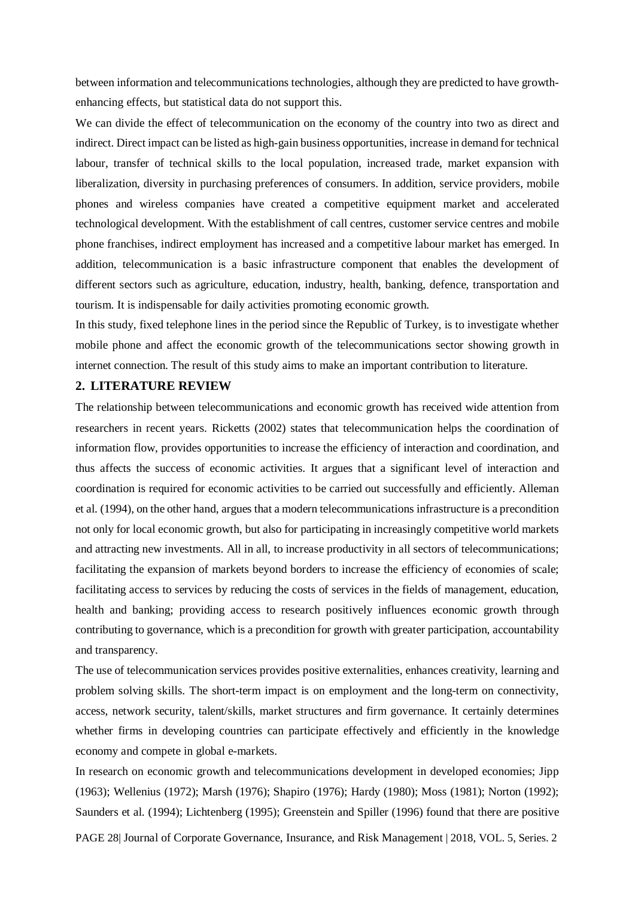between information and telecommunications technologies, although they are predicted to have growthenhancing effects, but statistical data do not support this.

We can divide the effect of telecommunication on the economy of the country into two as direct and indirect. Direct impact can be listed as high-gain business opportunities, increase in demand for technical labour, transfer of technical skills to the local population, increased trade, market expansion with liberalization, diversity in purchasing preferences of consumers. In addition, service providers, mobile phones and wireless companies have created a competitive equipment market and accelerated technological development. With the establishment of call centres, customer service centres and mobile phone franchises, indirect employment has increased and a competitive labour market has emerged. In addition, telecommunication is a basic infrastructure component that enables the development of different sectors such as agriculture, education, industry, health, banking, defence, transportation and tourism. It is indispensable for daily activities promoting economic growth.

In this study, fixed telephone lines in the period since the Republic of Turkey, is to investigate whether mobile phone and affect the economic growth of the telecommunications sector showing growth in internet connection. The result of this study aims to make an important contribution to literature.

#### **2. LITERATURE REVIEW**

The relationship between telecommunications and economic growth has received wide attention from researchers in recent years. Ricketts (2002) states that telecommunication helps the coordination of information flow, provides opportunities to increase the efficiency of interaction and coordination, and thus affects the success of economic activities. It argues that a significant level of interaction and coordination is required for economic activities to be carried out successfully and efficiently. Alleman et al. (1994), on the other hand, argues that a modern telecommunications infrastructure is a precondition not only for local economic growth, but also for participating in increasingly competitive world markets and attracting new investments. All in all, to increase productivity in all sectors of telecommunications; facilitating the expansion of markets beyond borders to increase the efficiency of economies of scale; facilitating access to services by reducing the costs of services in the fields of management, education, health and banking; providing access to research positively influences economic growth through contributing to governance, which is a precondition for growth with greater participation, accountability and transparency.

The use of telecommunication services provides positive externalities, enhances creativity, learning and problem solving skills. The short-term impact is on employment and the long-term on connectivity, access, network security, talent/skills, market structures and firm governance. It certainly determines whether firms in developing countries can participate effectively and efficiently in the knowledge economy and compete in global e-markets.

In research on economic growth and telecommunications development in developed economies; Jipp (1963); Wellenius (1972); Marsh (1976); Shapiro (1976); Hardy (1980); Moss (1981); Norton (1992); Saunders et al. (1994); Lichtenberg (1995); Greenstein and Spiller (1996) found that there are positive

PAGE 28| Journal of Corporate Governance, Insurance, and Risk Management | 2018, VOL. 5, Series. 2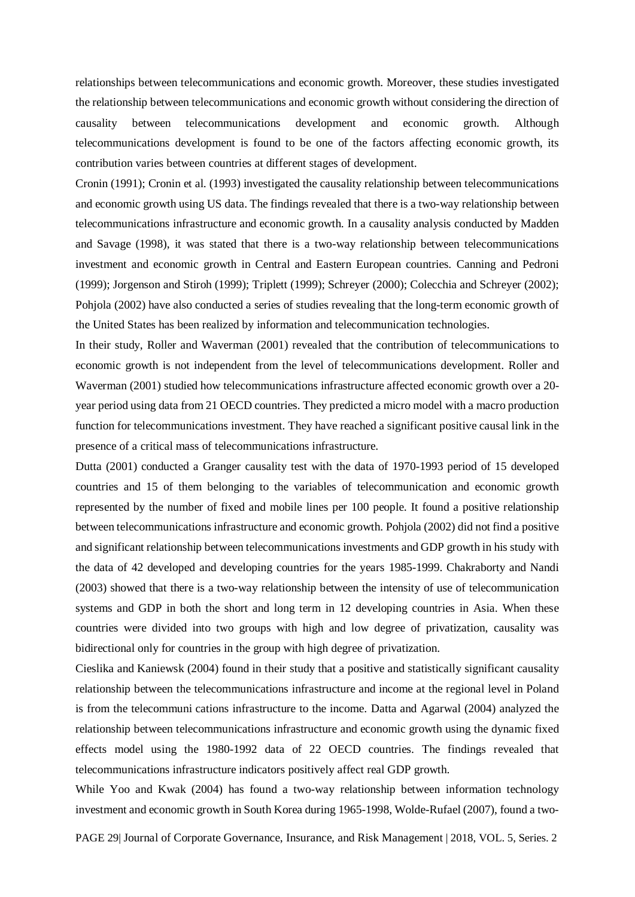relationships between telecommunications and economic growth. Moreover, these studies investigated the relationship between telecommunications and economic growth without considering the direction of causality between telecommunications development and economic growth. Although telecommunications development is found to be one of the factors affecting economic growth, its contribution varies between countries at different stages of development.

Cronin (1991); Cronin et al. (1993) investigated the causality relationship between telecommunications and economic growth using US data. The findings revealed that there is a two-way relationship between telecommunications infrastructure and economic growth. In a causality analysis conducted by Madden and Savage (1998), it was stated that there is a two-way relationship between telecommunications investment and economic growth in Central and Eastern European countries. Canning and Pedroni (1999); Jorgenson and Stiroh (1999); Triplett (1999); Schreyer (2000); Colecchia and Schreyer (2002); Pohjola (2002) have also conducted a series of studies revealing that the long-term economic growth of the United States has been realized by information and telecommunication technologies.

In their study, Roller and Waverman (2001) revealed that the contribution of telecommunications to economic growth is not independent from the level of telecommunications development. Roller and Waverman (2001) studied how telecommunications infrastructure affected economic growth over a 20 year period using data from 21 OECD countries. They predicted a micro model with a macro production function for telecommunications investment. They have reached a significant positive causal link in the presence of a critical mass of telecommunications infrastructure.

Dutta (2001) conducted a Granger causality test with the data of 1970-1993 period of 15 developed countries and 15 of them belonging to the variables of telecommunication and economic growth represented by the number of fixed and mobile lines per 100 people. It found a positive relationship between telecommunications infrastructure and economic growth. Pohjola (2002) did not find a positive and significant relationship between telecommunications investments and GDP growth in his study with the data of 42 developed and developing countries for the years 1985-1999. Chakraborty and Nandi (2003) showed that there is a two-way relationship between the intensity of use of telecommunication systems and GDP in both the short and long term in 12 developing countries in Asia. When these countries were divided into two groups with high and low degree of privatization, causality was bidirectional only for countries in the group with high degree of privatization.

Cieslika and Kaniewsk (2004) found in their study that a positive and statistically significant causality relationship between the telecommunications infrastructure and income at the regional level in Poland is from the telecommuni cations infrastructure to the income. Datta and Agarwal (2004) analyzed the relationship between telecommunications infrastructure and economic growth using the dynamic fixed effects model using the 1980-1992 data of 22 OECD countries. The findings revealed that telecommunications infrastructure indicators positively affect real GDP growth.

While Yoo and Kwak (2004) has found a two-way relationship between information technology investment and economic growth in South Korea during 1965-1998, Wolde-Rufael (2007), found a two-

PAGE 29| Journal of Corporate Governance, Insurance, and Risk Management | 2018, VOL. 5, Series. 2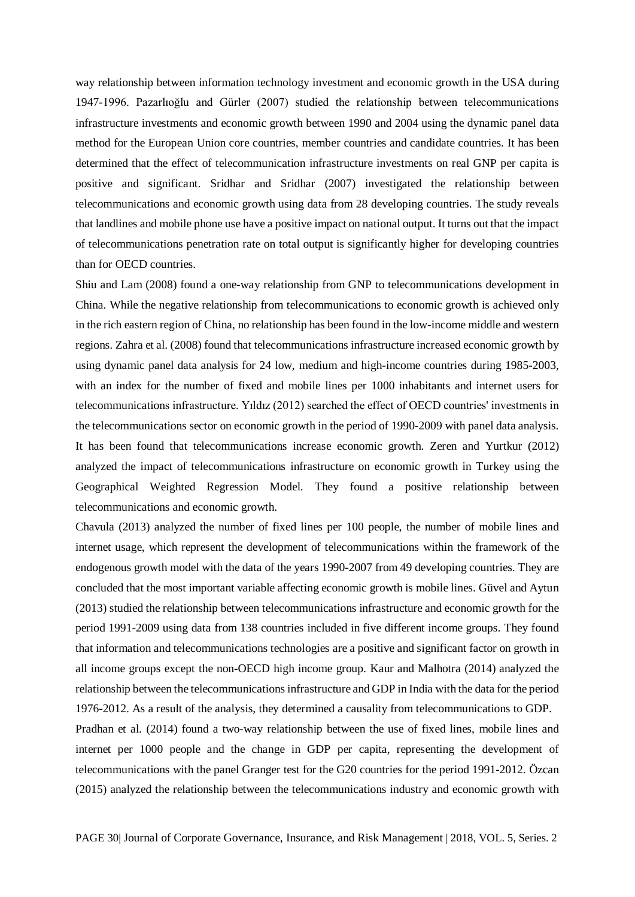way relationship between information technology investment and economic growth in the USA during 1947-1996. Pazarlıoğlu and Gürler (2007) studied the relationship between telecommunications infrastructure investments and economic growth between 1990 and 2004 using the dynamic panel data method for the European Union core countries, member countries and candidate countries. It has been determined that the effect of telecommunication infrastructure investments on real GNP per capita is positive and significant. Sridhar and Sridhar (2007) investigated the relationship between telecommunications and economic growth using data from 28 developing countries. The study reveals that landlines and mobile phone use have a positive impact on national output. It turns out that the impact of telecommunications penetration rate on total output is significantly higher for developing countries than for OECD countries.

Shiu and Lam (2008) found a one-way relationship from GNP to telecommunications development in China. While the negative relationship from telecommunications to economic growth is achieved only in the rich eastern region of China, no relationship has been found in the low-income middle and western regions. Zahra et al. (2008) found that telecommunications infrastructure increased economic growth by using dynamic panel data analysis for 24 low, medium and high-income countries during 1985-2003, with an index for the number of fixed and mobile lines per 1000 inhabitants and internet users for telecommunications infrastructure. Yıldız (2012) searched the effect of OECD countries' investments in the telecommunications sector on economic growth in the period of 1990-2009 with panel data analysis. It has been found that telecommunications increase economic growth. Zeren and Yurtkur (2012) analyzed the impact of telecommunications infrastructure on economic growth in Turkey using the Geographical Weighted Regression Model. They found a positive relationship between telecommunications and economic growth.

Chavula (2013) analyzed the number of fixed lines per 100 people, the number of mobile lines and internet usage, which represent the development of telecommunications within the framework of the endogenous growth model with the data of the years 1990-2007 from 49 developing countries. They are concluded that the most important variable affecting economic growth is mobile lines. Güvel and Aytun (2013) studied the relationship between telecommunications infrastructure and economic growth for the period 1991-2009 using data from 138 countries included in five different income groups. They found that information and telecommunications technologies are a positive and significant factor on growth in all income groups except the non-OECD high income group. Kaur and Malhotra (2014) analyzed the relationship between the telecommunications infrastructure and GDP in India with the data for the period 1976-2012. As a result of the analysis, they determined a causality from telecommunications to GDP.

Pradhan et al. (2014) found a two-way relationship between the use of fixed lines, mobile lines and internet per 1000 people and the change in GDP per capita, representing the development of telecommunications with the panel Granger test for the G20 countries for the period 1991-2012. Özcan (2015) analyzed the relationship between the telecommunications industry and economic growth with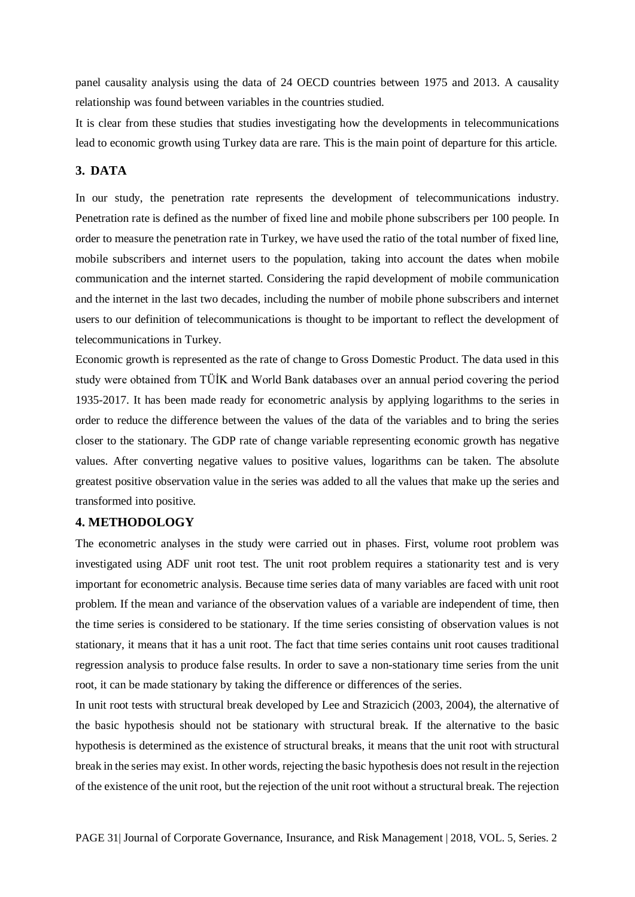panel causality analysis using the data of 24 OECD countries between 1975 and 2013. A causality relationship was found between variables in the countries studied.

It is clear from these studies that studies investigating how the developments in telecommunications lead to economic growth using Turkey data are rare. This is the main point of departure for this article.

## **3. DATA**

In our study, the penetration rate represents the development of telecommunications industry. Penetration rate is defined as the number of fixed line and mobile phone subscribers per 100 people. In order to measure the penetration rate in Turkey, we have used the ratio of the total number of fixed line, mobile subscribers and internet users to the population, taking into account the dates when mobile communication and the internet started. Considering the rapid development of mobile communication and the internet in the last two decades, including the number of mobile phone subscribers and internet users to our definition of telecommunications is thought to be important to reflect the development of telecommunications in Turkey.

Economic growth is represented as the rate of change to Gross Domestic Product. The data used in this study were obtained from TÜİK and World Bank databases over an annual period covering the period 1935-2017. It has been made ready for econometric analysis by applying logarithms to the series in order to reduce the difference between the values of the data of the variables and to bring the series closer to the stationary. The GDP rate of change variable representing economic growth has negative values. After converting negative values to positive values, logarithms can be taken. The absolute greatest positive observation value in the series was added to all the values that make up the series and transformed into positive.

### **4. METHODOLOGY**

The econometric analyses in the study were carried out in phases. First, volume root problem was investigated using ADF unit root test. The unit root problem requires a stationarity test and is very important for econometric analysis. Because time series data of many variables are faced with unit root problem. If the mean and variance of the observation values of a variable are independent of time, then the time series is considered to be stationary. If the time series consisting of observation values is not stationary, it means that it has a unit root. The fact that time series contains unit root causes traditional regression analysis to produce false results. In order to save a non-stationary time series from the unit root, it can be made stationary by taking the difference or differences of the series.

In unit root tests with structural break developed by Lee and Strazicich (2003, 2004), the alternative of the basic hypothesis should not be stationary with structural break. If the alternative to the basic hypothesis is determined as the existence of structural breaks, it means that the unit root with structural break in the series may exist. In other words, rejecting the basic hypothesis does not result in the rejection of the existence of the unit root, but the rejection of the unit root without a structural break. The rejection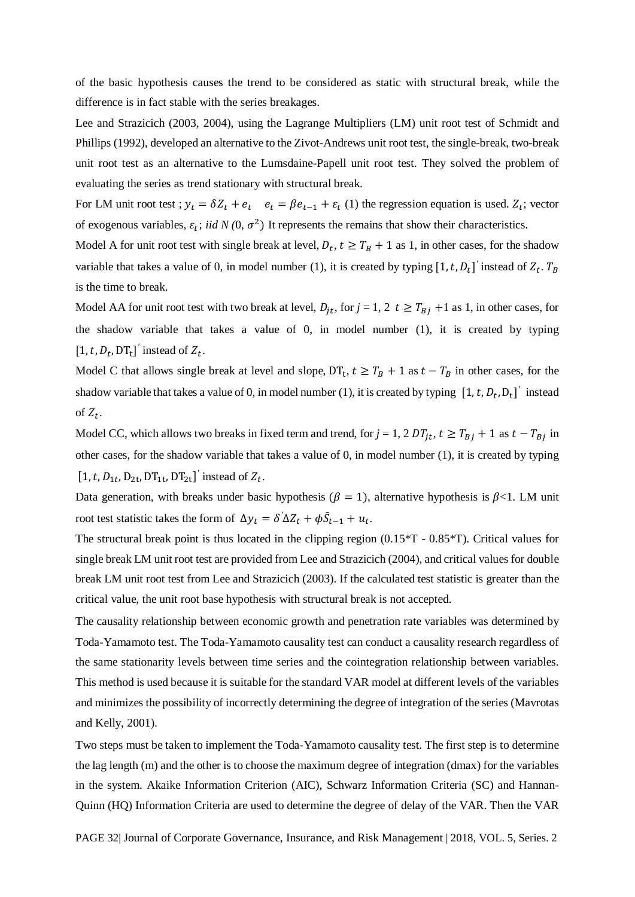of the basic hypothesis causes the trend to be considered as static with structural break, while the difference is in fact stable with the series breakages.

Lee and Strazicich (2003, 2004), using the Lagrange Multipliers (LM) unit root test of Schmidt and Phillips (1992), developed an alternative to the Zivot-Andrews unit root test, the single-break, two-break unit root test as an alternative to the Lumsdaine-Papell unit root test. They solved the problem of evaluating the series as trend stationary with structural break.

For LM unit root test ;  $y_t = \delta Z_t + e_t$   $e_t = \beta e_{t-1} + \varepsilon_t$  (1) the regression equation is used.  $Z_t$ ; vector of exogenous variables,  $\varepsilon_t$ ; *iid N* (0,  $\sigma^2$ ) It represents the remains that show their characteristics.

Model A for unit root test with single break at level,  $D_t$ ,  $t \geq T_B + 1$  as 1, in other cases, for the shadow variable that takes a value of 0, in model number (1), it is created by typing  $[1, t, D_t]$  instead of  $Z_t$ .  $T_B$ is the time to break.

Model AA for unit root test with two break at level,  $D_{it}$ , for  $j = 1, 2 \, t \geq T_{Bj} + 1$  as 1, in other cases, for the shadow variable that takes a value of 0, in model number (1), it is created by typing  $[1, t, D_t, DT_t]'$  instead of  $Z_t$ .

Model C that allows single break at level and slope,  $DT_t$ ,  $t \geq T_B + 1$  as  $t - T_B$  in other cases, for the shadow variable that takes a value of 0, in model number (1), it is created by typing  $[1, t, D_t, D_t]$  instead of  $Z_t$ .

Model CC, which allows two breaks in fixed term and trend, for  $j = 1$ ,  $2 DT_{jt}$ ,  $t \geq T_{Bj} + 1$  as  $t - T_{Bj}$  in other cases, for the shadow variable that takes a value of 0, in model number (1), it is created by typing  $[1,t,D_{1t},D_{2t},DT_{1t},DT_{2t}]$ <sup>*'*</sup> instead of  $Z_t$ .

Data generation, with breaks under basic hypothesis ( $\beta = 1$ ), alternative hypothesis is  $\beta < 1$ . LM unit root test statistic takes the form of  $\Delta y_t = \delta' \Delta Z_t + \phi \tilde{S}_{t-1} + u_t$ .

The structural break point is thus located in the clipping region (0.15\*T - 0.85\*T). Critical values for single break LM unit root test are provided from Lee and Strazicich (2004), and critical values for double break LM unit root test from Lee and Strazicich (2003). If the calculated test statistic is greater than the critical value, the unit root base hypothesis with structural break is not accepted.

The causality relationship between economic growth and penetration rate variables was determined by Toda-Yamamoto test. The Toda-Yamamoto causality test can conduct a causality research regardless of the same stationarity levels between time series and the cointegration relationship between variables. This method is used because it is suitable for the standard VAR model at different levels of the variables and minimizes the possibility of incorrectly determining the degree of integration of the series (Mavrotas and Kelly, 2001).

Two steps must be taken to implement the Toda-Yamamoto causality test. The first step is to determine the lag length (m) and the other is to choose the maximum degree of integration (dmax) for the variables in the system. Akaike Information Criterion (AIC), Schwarz Information Criteria (SC) and Hannan-Quinn (HQ) Information Criteria are used to determine the degree of delay of the VAR. Then the VAR

PAGE 32| Journal of Corporate Governance, Insurance, and Risk Management | 2018, VOL. 5, Series. 2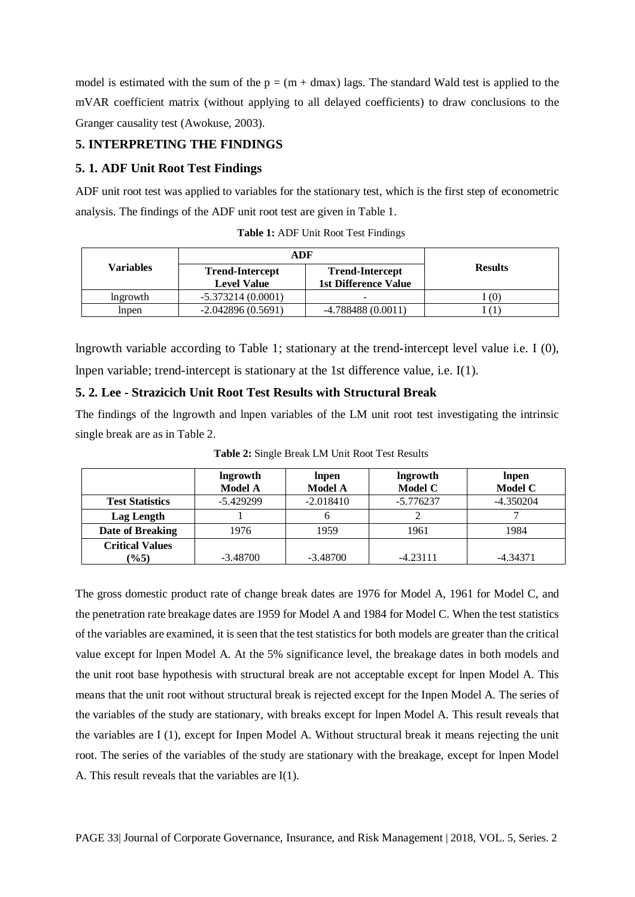model is estimated with the sum of the  $p = (m + dmax)$  lags. The standard Wald test is applied to the mVAR coefficient matrix (without applying to all delayed coefficients) to draw conclusions to the Granger causality test (Awokuse, 2003).

# **5. INTERPRETING THE FINDINGS**

# **5. 1. ADF Unit Root Test Findings**

ADF unit root test was applied to variables for the stationary test, which is the first step of econometric analysis. The findings of the ADF unit root test are given in Table 1.

|                 | ADF                                          |                                                       |                |  |
|-----------------|----------------------------------------------|-------------------------------------------------------|----------------|--|
| Variables       | <b>Trend-Intercept</b><br><b>Level Value</b> | <b>Trend-Intercept</b><br><b>1st Difference Value</b> | <b>Results</b> |  |
| <i>lngrowth</i> | $-5.373214(0.0001)$                          | -                                                     | (0)            |  |
| Inpen           | $-2.042896(0.5691)$                          | $-4.788488(0.0011)$                                   |                |  |

**Table 1:** ADF Unit Root Test Findings

lngrowth variable according to Table 1; stationary at the trend-intercept level value i.e. I (0), lnpen variable; trend-intercept is stationary at the 1st difference value, i.e. I(1).

# **5. 2. Lee - Strazicich Unit Root Test Results with Structural Break**

The findings of the lngrowth and lnpen variables of the LM unit root test investigating the intrinsic single break are as in Table 2.

|                        | lngrowth       | Inpen          | <b>Ingrowth</b> | Inpen          |
|------------------------|----------------|----------------|-----------------|----------------|
|                        | <b>Model A</b> | <b>Model A</b> | Model C         | <b>Model C</b> |
| <b>Test Statistics</b> | $-5.429299$    | $-2.018410$    | $-5.776237$     | $-4.350204$    |
| Lag Length             |                | n              |                 |                |
| Date of Breaking       | 1976           | 1959           | 1961            | 1984           |
| <b>Critical Values</b> |                |                |                 |                |
| $(\%5)$                | $-3.48700$     | $-3.48700$     | $-4.23111$      | $-4.34371$     |

**Table 2:** Single Break LM Unit Root Test Results

The gross domestic product rate of change break dates are 1976 for Model A, 1961 for Model C, and the penetration rate breakage dates are 1959 for Model A and 1984 for Model C. When the test statistics of the variables are examined, it is seen that the test statistics for both models are greater than the critical value except for lnpen Model A. At the 5% significance level, the breakage dates in both models and the unit root base hypothesis with structural break are not acceptable except for lnpen Model A. This means that the unit root without structural break is rejected except for the Inpen Model A. The series of the variables of the study are stationary, with breaks except for lnpen Model A. This result reveals that the variables are I (1), except for Inpen Model A. Without structural break it means rejecting the unit root. The series of the variables of the study are stationary with the breakage, except for lnpen Model A. This result reveals that the variables are I(1).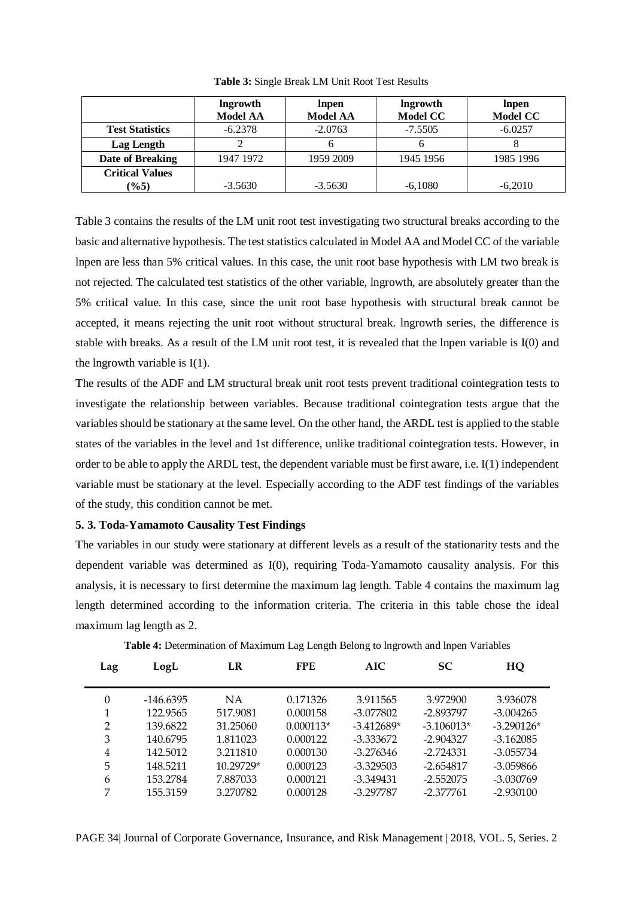|                        | lngrowth        | Inpen           | lngrowth        | Inpen           |
|------------------------|-----------------|-----------------|-----------------|-----------------|
|                        | <b>Model AA</b> | <b>Model AA</b> | <b>Model CC</b> | <b>Model CC</b> |
| <b>Test Statistics</b> | $-6.2378$       | $-2.0763$       | $-7.5505$       | $-6.0257$       |
| Lag Length             |                 |                 |                 |                 |
| Date of Breaking       | 1947 1972       | 1959 2009       | 1945 1956       | 1985 1996       |
| <b>Critical Values</b> |                 |                 |                 |                 |
| (9/65)                 | $-3.5630$       | $-3.5630$       | $-6.1080$       | $-6.2010$       |

**Table 3:** Single Break LM Unit Root Test Results

Table 3 contains the results of the LM unit root test investigating two structural breaks according to the basic and alternative hypothesis. The test statistics calculated in Model AA and Model CC of the variable lnpen are less than 5% critical values. In this case, the unit root base hypothesis with LM two break is not rejected. The calculated test statistics of the other variable, lngrowth, are absolutely greater than the 5% critical value. In this case, since the unit root base hypothesis with structural break cannot be accepted, it means rejecting the unit root without structural break. lngrowth series, the difference is stable with breaks. As a result of the LM unit root test, it is revealed that the lnpen variable is I(0) and the lngrowth variable is  $I(1)$ .

The results of the ADF and LM structural break unit root tests prevent traditional cointegration tests to investigate the relationship between variables. Because traditional cointegration tests argue that the variables should be stationary at the same level. On the other hand, the ARDL test is applied to the stable states of the variables in the level and 1st difference, unlike traditional cointegration tests. However, in order to be able to apply the ARDL test, the dependent variable must be first aware, i.e. I(1) independent variable must be stationary at the level. Especially according to the ADF test findings of the variables of the study, this condition cannot be met.

#### **5. 3. Toda-Yamamoto Causality Test Findings**

The variables in our study were stationary at different levels as a result of the stationarity tests and the dependent variable was determined as I(0), requiring Toda-Yamamoto causality analysis. For this analysis, it is necessary to first determine the maximum lag length. Table 4 contains the maximum lag length determined according to the information criteria. The criteria in this table chose the ideal maximum lag length as 2.

| LogL      | LR        | <b>FPE</b>  | AIC          | <b>SC</b>    | HQ           |
|-----------|-----------|-------------|--------------|--------------|--------------|
| -146.6395 | NA.       | 0.171326    | 3.911565     | 3.972900     | 3.936078     |
| 122.9565  | 517.9081  | 0.000158    | $-3.077802$  | -2.893797    | $-3.004265$  |
| 139.6822  | 31.25060  | $0.000113*$ | $-3.412689*$ | $-3.106013*$ | $-3.290126*$ |
| 140.6795  | 1.811023  | 0.000122    | $-3.333672$  | $-2.904327$  | $-3.162085$  |
| 142.5012  | 3.211810  | 0.000130    | $-3.276346$  | $-2.724331$  | $-3.055734$  |
| 148.5211  | 10.29729* | 0.000123    | $-3.329503$  | $-2.654817$  | $-3.059866$  |
| 153.2784  | 7.887033  | 0.000121    | $-3.349431$  | $-2.552075$  | $-3.030769$  |
| 155.3159  | 3.270782  | 0.000128    | $-3.297787$  | $-2.377761$  | $-2.930100$  |
|           |           |             |              |              |              |

**Table 4:** Determination of Maximum Lag Length Belong to lngrowth and lnpen Variables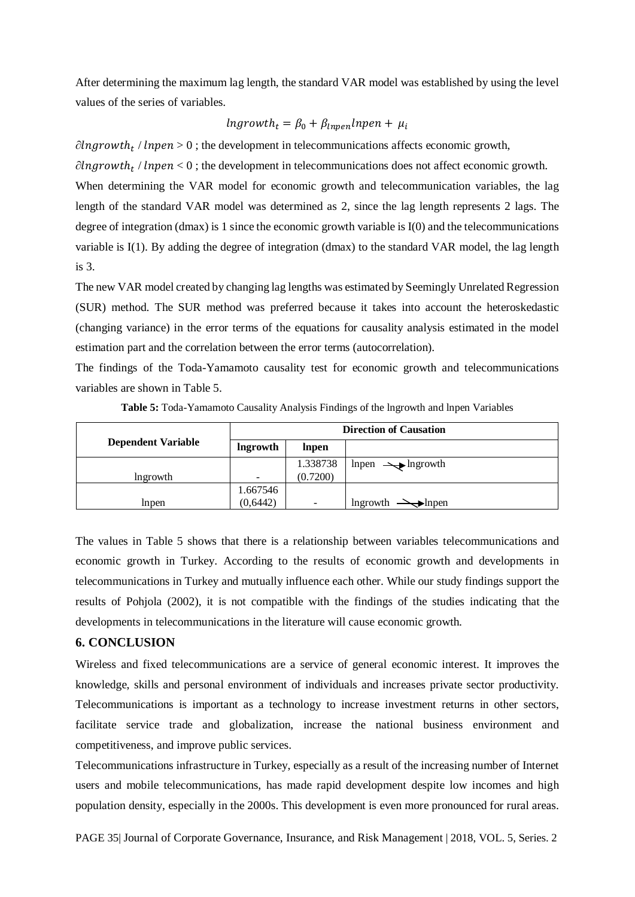After determining the maximum lag length, the standard VAR model was established by using the level values of the series of variables.

$$
Ingrowth_t = \beta_0 + \beta_{Inpen} Inpen + \mu_i
$$

 $\partial \ln \text{growth}_t$  /  $\ln \text{pen} > 0$ ; the development in telecommunications affects economic growth,

 $\partial \log$ rowth<sub>t</sub> /  $\ln$ pen < 0; the development in telecommunications does not affect economic growth. When determining the VAR model for economic growth and telecommunication variables, the lag length of the standard VAR model was determined as 2, since the lag length represents 2 lags. The degree of integration (dmax) is 1 since the economic growth variable is I(0) and the telecommunications variable is I(1). By adding the degree of integration (dmax) to the standard VAR model, the lag length is 3.

The new VAR model created by changing lag lengths was estimated by Seemingly Unrelated Regression (SUR) method. The SUR method was preferred because it takes into account the heteroskedastic (changing variance) in the error terms of the equations for causality analysis estimated in the model estimation part and the correlation between the error terms (autocorrelation).

The findings of the Toda-Yamamoto causality test for economic growth and telecommunications variables are shown in Table 5.

|                           | <b>Direction of Causation</b> |          |                                 |
|---------------------------|-------------------------------|----------|---------------------------------|
| <b>Dependent Variable</b> | lngrowth                      | lnpen    |                                 |
|                           |                               | 1.338738 | $lnpen \rightarrow lngrowth$    |
| lngrowth                  | -                             | (0.7200) |                                 |
|                           | 1.667546                      |          |                                 |
| Inpen                     | (0,6442)                      | $\equiv$ | lngrowth<br>$\rightarrow$ Inpen |

**Table 5:** Toda-Yamamoto Causality Analysis Findings of the lngrowth and lnpen Variables

The values in Table 5 shows that there is a relationship between variables telecommunications and economic growth in Turkey. According to the results of economic growth and developments in telecommunications in Turkey and mutually influence each other. While our study findings support the results of Pohjola (2002), it is not compatible with the findings of the studies indicating that the developments in telecommunications in the literature will cause economic growth.

#### **6. CONCLUSION**

Wireless and fixed telecommunications are a service of general economic interest. It improves the knowledge, skills and personal environment of individuals and increases private sector productivity. Telecommunications is important as a technology to increase investment returns in other sectors, facilitate service trade and globalization, increase the national business environment and competitiveness, and improve public services.

Telecommunications infrastructure in Turkey, especially as a result of the increasing number of Internet users and mobile telecommunications, has made rapid development despite low incomes and high population density, especially in the 2000s. This development is even more pronounced for rural areas.

PAGE 35| Journal of Corporate Governance, Insurance, and Risk Management | 2018, VOL. 5, Series. 2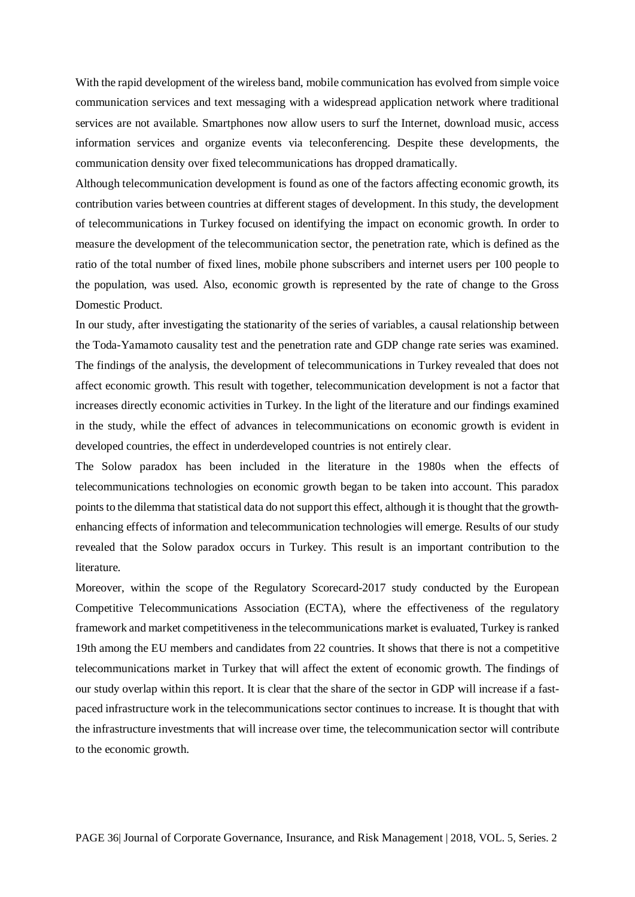With the rapid development of the wireless band, mobile communication has evolved from simple voice communication services and text messaging with a widespread application network where traditional services are not available. Smartphones now allow users to surf the Internet, download music, access information services and organize events via teleconferencing. Despite these developments, the communication density over fixed telecommunications has dropped dramatically.

Although telecommunication development is found as one of the factors affecting economic growth, its contribution varies between countries at different stages of development. In this study, the development of telecommunications in Turkey focused on identifying the impact on economic growth. In order to measure the development of the telecommunication sector, the penetration rate, which is defined as the ratio of the total number of fixed lines, mobile phone subscribers and internet users per 100 people to the population, was used. Also, economic growth is represented by the rate of change to the Gross Domestic Product.

In our study, after investigating the stationarity of the series of variables, a causal relationship between the Toda-Yamamoto causality test and the penetration rate and GDP change rate series was examined. The findings of the analysis, the development of telecommunications in Turkey revealed that does not affect economic growth. This result with together, telecommunication development is not a factor that increases directly economic activities in Turkey. In the light of the literature and our findings examined in the study, while the effect of advances in telecommunications on economic growth is evident in developed countries, the effect in underdeveloped countries is not entirely clear.

The Solow paradox has been included in the literature in the 1980s when the effects of telecommunications technologies on economic growth began to be taken into account. This paradox points to the dilemma that statistical data do not support this effect, although it is thought that the growthenhancing effects of information and telecommunication technologies will emerge. Results of our study revealed that the Solow paradox occurs in Turkey. This result is an important contribution to the literature.

Moreover, within the scope of the Regulatory Scorecard-2017 study conducted by the European Competitive Telecommunications Association (ECTA), where the effectiveness of the regulatory framework and market competitiveness in the telecommunications market is evaluated, Turkey is ranked 19th among the EU members and candidates from 22 countries. It shows that there is not a competitive telecommunications market in Turkey that will affect the extent of economic growth. The findings of our study overlap within this report. It is clear that the share of the sector in GDP will increase if a fastpaced infrastructure work in the telecommunications sector continues to increase. It is thought that with the infrastructure investments that will increase over time, the telecommunication sector will contribute to the economic growth.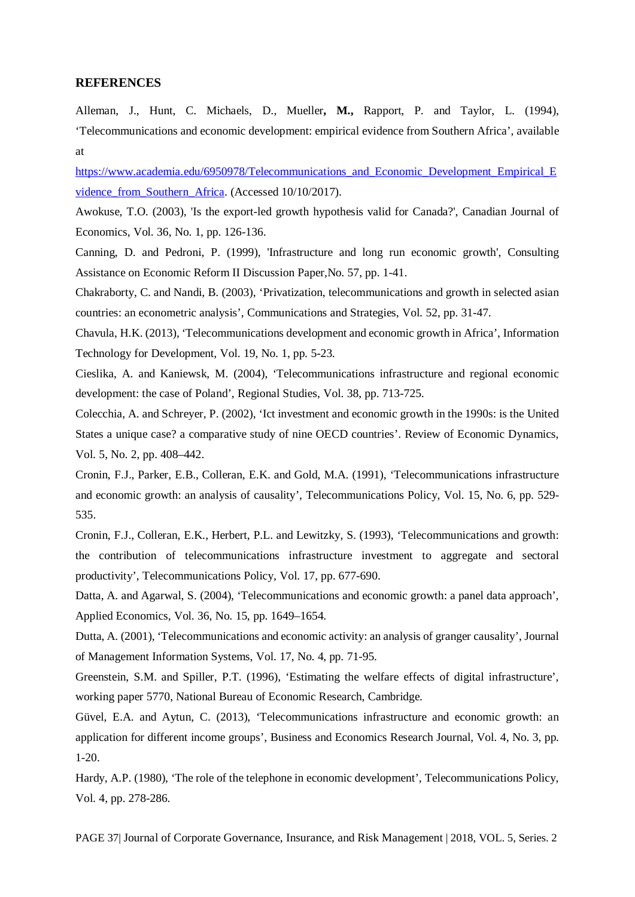#### **REFERENCES**

Alleman, J., Hunt, C. Michaels, D., Mueller**, M.,** Rapport, P. and Taylor, L. (1994), 'Telecommunications and economic development: empirical evidence from Southern Africa', available at

[https://www.academia.edu/6950978/Telecommunications\\_and\\_Economic\\_Development\\_Empirical\\_E](https://www.academia.edu/6950978/Telecommunications_and_Economic_Development_Empirical_Evidence_from_Southern_Africa) [vidence\\_from\\_Southern\\_Africa.](https://www.academia.edu/6950978/Telecommunications_and_Economic_Development_Empirical_Evidence_from_Southern_Africa) (Accessed 10/10/2017).

Awokuse, T.O. (2003), 'Is the export-led growth hypothesis valid for Canada?', Canadian Journal of Economics, Vol. 36, No. 1, pp. 126-136.

Canning, D. and Pedroni, P. (1999), 'Infrastructure and long run economic growth', Consulting Assistance on Economic Reform II Discussion Paper*,*No. 57, pp. 1-41.

Chakraborty, C. and Nandi, B. (2003), 'Privatization, telecommunications and growth in selected asian countries: an econometric analysis', Communications and Strategies, Vol. 52, pp. 31-47.

Chavula, H.K. (2013), 'Telecommunications development and economic growth in Africa', Information Technology for Development*,* Vol. 19, No. 1, pp. 5-23.

Cieslika, A. and Kaniewsk, M. (2004), 'Telecommunications infrastructure and regional economic development: the case of Poland', Regional Studies, Vol. 38, pp. 713-725.

Colecchia, A. and Schreyer, P. (2002), 'Ict investment and economic growth in the 1990s: is the United States a unique case? a comparative study of nine OECD countries'. Review of Economic Dynamics, Vol. 5, No. 2, pp. 408–442.

Cronin, F.J., Parker, E.B., Colleran, E.K. and Gold, M.A. (1991), 'Telecommunications infrastructure and economic growth: an analysis of causality', Telecommunications Policy, Vol. 15, No. 6, pp. 529- 535.

Cronin, F.J., Colleran, E.K., Herbert, P.L. and Lewitzky, S. (1993), 'Telecommunications and growth: the contribution of telecommunications infrastructure investment to aggregate and sectoral productivity', Telecommunications Policy, Vol. 17, pp. 677-690.

Datta, A. and Agarwal, S. (2004), 'Telecommunications and economic growth: a panel data approach', Applied Economics, Vol. 36, No. 15, pp. 1649–1654.

Dutta, A. (2001), 'Telecommunications and economic activity: an analysis of granger causality', Journal of Management Information Systems, Vol. 17, No. 4, pp. 71-95.

Greenstein, S.M. and Spiller, P.T. (1996), 'Estimating the welfare effects of digital infrastructure', working paper 5770, National Bureau of Economic Research, Cambridge.

Güvel, E.A. and Aytun, C. (2013), 'Telecommunications infrastructure and economic growth: an application for different income groups', Business and Economics Research Journal, Vol. 4, No. 3, pp. 1-20.

Hardy, A.P. (1980), 'The role of the telephone in economic development', Telecommunications Policy, Vol. 4, pp. 278-286.

PAGE 37| Journal of Corporate Governance, Insurance, and Risk Management | 2018, VOL. 5, Series. 2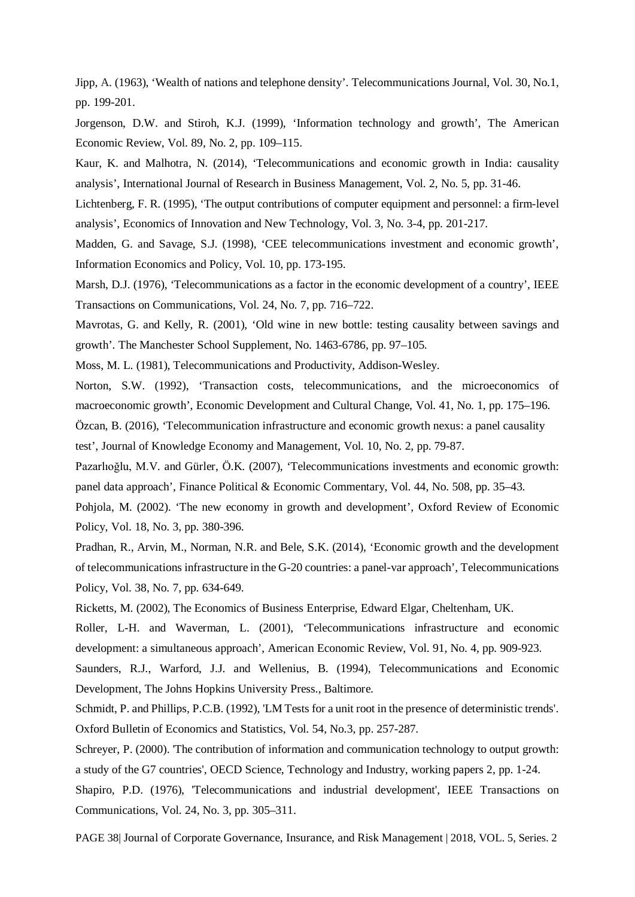Jipp, A. (1963), 'Wealth of nations and telephone density'. Telecommunications Journal, Vol. 30, No.1, pp. 199-201.

Jorgenson, D.W. and Stiroh, K.J. (1999), 'Information technology and growth', The American Economic Review, Vol. 89, No. 2, pp. 109–115.

Kaur, K. and Malhotra, N. (2014), 'Telecommunications and economic growth in India: causality analysis', International Journal of Research in Business Management, Vol. 2, No. 5, pp. 31-46.

Lichtenberg, F. R. (1995), 'The output contributions of computer equipment and personnel: a firm-level analysis', Economics of Innovation and New Technology, Vol. 3, No. 3-4, pp. 201-217.

Madden, G. and Savage, S.J. (1998), 'CEE telecommunications investment and economic growth', Information Economics and Policy, Vol. 10, pp. 173-195.

Marsh, D.J. (1976), 'Telecommunications as a factor in the economic development of a country', IEEE Transactions on Communications, Vol. 24, No. 7, pp. 716–722.

Mavrotas, G. and Kelly, R. (2001), 'Old wine in new bottle: testing causality between savings and growth'. The Manchester School Supplement, No. 1463-6786, pp. 97–105.

Moss, M. L. (1981), Telecommunications and Productivity, Addison-Wesley.

Norton, S.W. (1992), 'Transaction costs, telecommunications, and the microeconomics of macroeconomic growth', Economic Development and Cultural Change, Vol. 41, No. 1, pp. 175–196.

Özcan, B. (2016), 'Telecommunication infrastructure and economic growth nexus: a panel causality

test', Journal of Knowledge Economy and Management, Vol. 10, No. 2, pp. 79-87.

Pazarlıoğlu, M.V. and Gürler, Ö.K. (2007), 'Telecommunications investments and economic growth: panel data approach', Finance Political & Economic Commentary, Vol. 44, No. 508, pp. 35–43.

Pohjola, M. (2002). 'The new economy in growth and development', Oxford Review of Economic Policy, Vol. 18, No. 3, pp. 380-396.

Pradhan, R., Arvin, M., Norman, N.R. and Bele, S.K. (2014), 'Economic growth and the development of telecommunications infrastructure in the G-20 countries: a panel-var approach', Telecommunications Policy, Vol. 38, No. 7, pp. 634-649.

Ricketts, M. (2002), The Economics of Business Enterprise, Edward Elgar, Cheltenham, UK.

Roller, L-H. and Waverman, L. (2001), 'Telecommunications infrastructure and economic development: a simultaneous approach', American Economic Review, Vol. 91, No. 4, pp. 909-923.

Saunders, R.J., Warford, J.J. and Wellenius, B. (1994), Telecommunications and Economic Development, The Johns Hopkins University Press., Baltimore.

Schmidt, P. and Phillips, P.C.B. (1992), 'LM Tests for a unit root in the presence of deterministic trends'. Oxford Bulletin of Economics and Statistics, Vol. 54, No.3, pp. 257-287.

Schreyer, P. (2000). 'The contribution of information and communication technology to output growth: a study of the G7 countries', OECD Science, Technology and Industry, working papers 2, pp. 1-24.

Shapiro, P.D. (1976), 'Telecommunications and industrial development', IEEE Transactions on Communications, Vol. 24, No. 3, pp. 305–311.

PAGE 38| Journal of Corporate Governance, Insurance, and Risk Management | 2018, VOL. 5, Series. 2